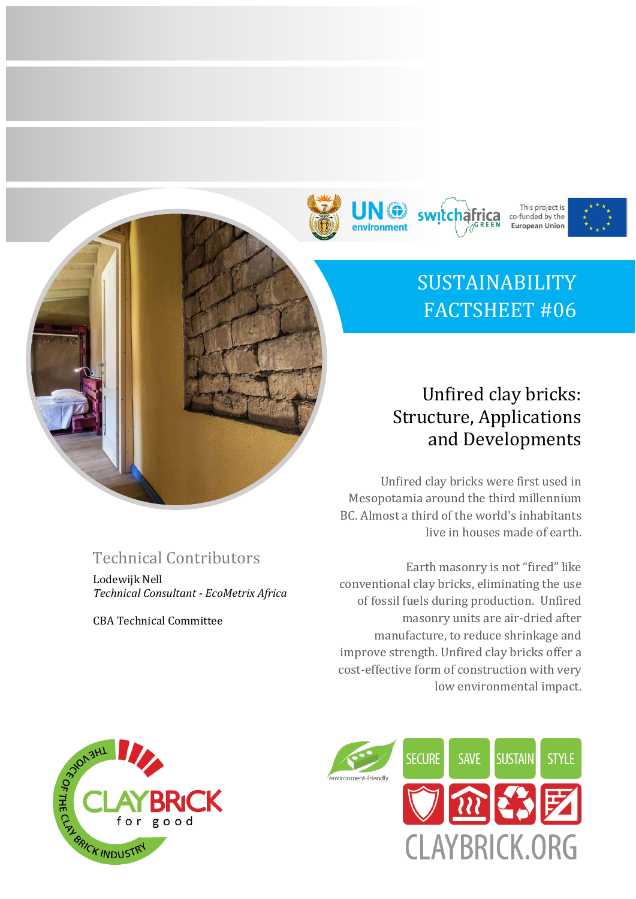







# SUSTAINABILITY FACTSHEET #06

## Unfired clay bricks: Structure, Applications and Developments

Unfired clay bricks were first used in Mesopotamia around the third millennium BC. Almost a third of the world's inhabitants live in houses made of earth.

Earth masonry is not "fired" like conventional clay bricks, eliminating the use of fossil fuels during production. Unfired masonry units are air-dried after manufacture, to reduce shrinkage and improve strength. Unfired clay bricks offer a cost-effective form of construction with very low environmental impact.



## Technical Contributors

Lodewijk Nell *Technical Consultant - EcoMetrix Africa*

CBA Technical Committee

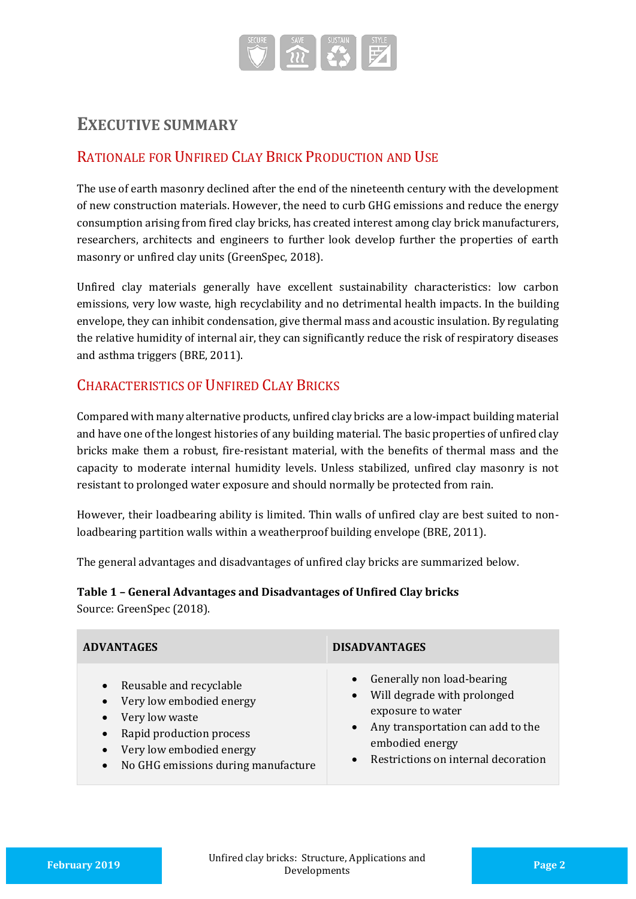

## **EXECUTIVE SUMMARY**

### RATIONALE FOR UNFIRED CLAY BRICK PRODUCTION AND USE

The use of earth masonry declined after the end of the nineteenth century with the development of new construction materials. However, the need to curb GHG emissions and reduce the energy consumption arising from fired clay bricks, has created interest among clay brick manufacturers, researchers, architects and engineers to further look develop further the properties of earth masonry or unfired clay units (GreenSpec, 2018).

Unfired clay materials generally have excellent sustainability characteristics: low carbon emissions, very low waste, high recyclability and no detrimental health impacts. In the building envelope, they can inhibit condensation, give thermal mass and acoustic insulation. By regulating the relative humidity of internal air, they can significantly reduce the risk of respiratory diseases and asthma triggers (BRE, 2011).

## CHARACTERISTICS OF UNFIRED CLAY BRICKS

Compared with many alternative products, unfired clay bricks are a low-impact building material and have one of the longest histories of any building material. The basic properties of unfired clay bricks make them a robust, fire-resistant material, with the benefits of thermal mass and the capacity to moderate internal humidity levels. Unless stabilized, unfired clay masonry is not resistant to prolonged water exposure and should normally be protected from rain.

However, their loadbearing ability is limited. Thin walls of unfired clay are best suited to nonloadbearing partition walls within a weatherproof building envelope (BRE, 2011).

The general advantages and disadvantages of unfired clay bricks are summarized below.

#### **Table 1 – General Advantages and Disadvantages of Unfired Clay bricks**

Source: GreenSpec (2018).

| <b>ADVANTAGES</b>                                                                                                                                                                                                                                  | <b>DISADVANTAGES</b>                                                                                                                                                                             |
|----------------------------------------------------------------------------------------------------------------------------------------------------------------------------------------------------------------------------------------------------|--------------------------------------------------------------------------------------------------------------------------------------------------------------------------------------------------|
| Reusable and recyclable<br>$\bullet$<br>Very low embodied energy<br>$\bullet$<br>Very low waste<br>$\bullet$<br>Rapid production process<br>$\bullet$<br>Very low embodied energy<br>$\bullet$<br>No GHG emissions during manufacture<br>$\bullet$ | Generally non load-bearing<br>$\bullet$<br>• Will degrade with prolonged<br>exposure to water<br>• Any transportation can add to the<br>embodied energy<br>• Restrictions on internal decoration |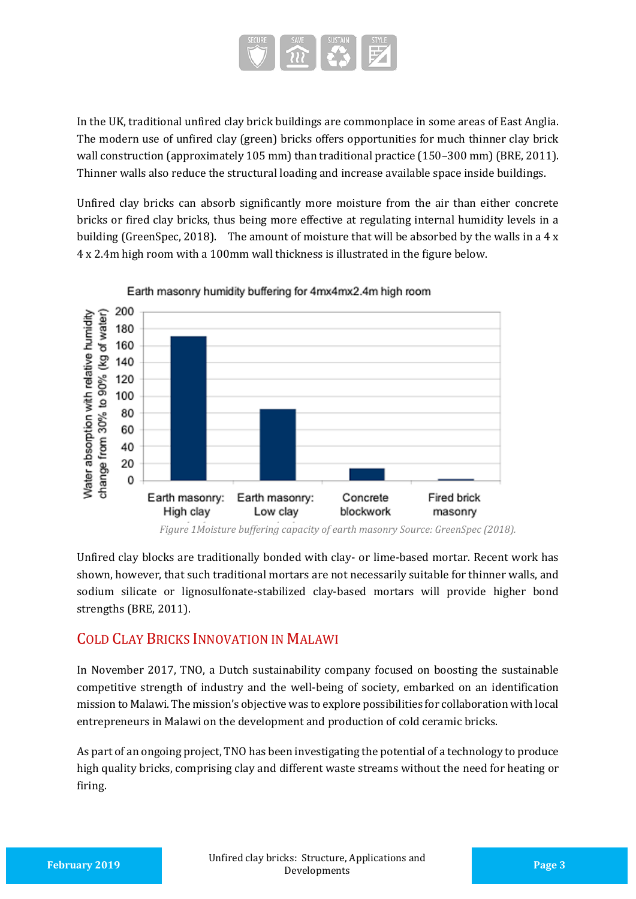

In the UK, traditional unfired clay brick buildings are commonplace in some areas of East Anglia. The modern use of unfired clay (green) bricks offers opportunities for much thinner clay brick wall construction (approximately 105 mm) than traditional practice (150–300 mm) (BRE, 2011). Thinner walls also reduce the structural loading and increase available space inside buildings.

Unfired clay bricks can absorb significantly more moisture from the air than either concrete bricks or fired clay bricks, thus being more effective at regulating internal humidity levels in a building (GreenSpec, 2018). The amount of moisture that will be absorbed by the walls in a  $4 \times$ 4 x 2.4m high room with a 100mm wall thickness is illustrated in the figure below.



Earth masonry humidity buffering for 4mx4mx2.4m high room

Unfired clay blocks are traditionally bonded with clay- or lime-based mortar. Recent work has shown, however, that such traditional mortars are not necessarily suitable for thinner walls, and sodium silicate or lignosulfonate-stabilized clay-based mortars will provide higher bond strengths (BRE, 2011).

### COLD CLAY BRICKS INNOVATION IN MALAWI

In November 2017, TNO, a Dutch sustainability company focused on boosting the sustainable competitive strength of industry and the well-being of society, embarked on an identification mission to Malawi. The mission's objective was to explore possibilities for collaboration with local entrepreneurs in Malawi on the development and production of cold ceramic bricks.

As part of an ongoing project, TNO has been investigating the potential of a technology to produce high quality bricks, comprising clay and different waste streams without the need for heating or firing.

*Figure 1Moisture buffering capacity of earth masonry Source: GreenSpec (2018).*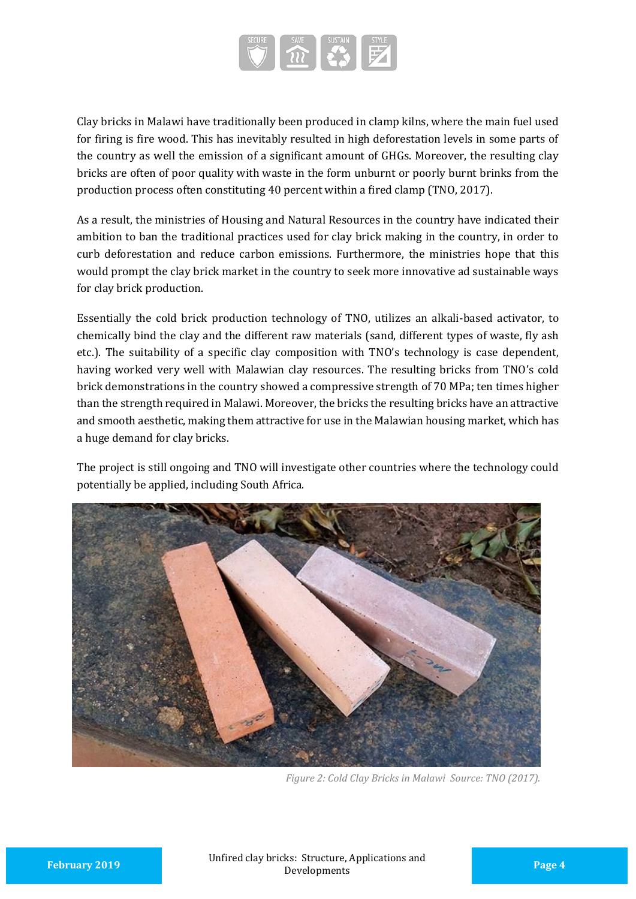

Clay bricks in Malawi have traditionally been produced in clamp kilns, where the main fuel used for firing is fire wood. This has inevitably resulted in high deforestation levels in some parts of the country as well the emission of a significant amount of GHGs. Moreover, the resulting clay bricks are often of poor quality with waste in the form unburnt or poorly burnt brinks from the production process often constituting 40 percent within a fired clamp (TNO, 2017).

As a result, the ministries of Housing and Natural Resources in the country have indicated their ambition to ban the traditional practices used for clay brick making in the country, in order to curb deforestation and reduce carbon emissions. Furthermore, the ministries hope that this would prompt the clay brick market in the country to seek more innovative ad sustainable ways for clay brick production.

Essentially the cold brick production technology of TNO, utilizes an alkali-based activator, to chemically bind the clay and the different raw materials (sand, different types of waste, fly ash etc.). The suitability of a specific clay composition with TNO's technology is case dependent, having worked very well with Malawian clay resources. The resulting bricks from TNO's cold brick demonstrations in the country showed a compressive strength of 70 MPa; ten times higher than the strength required in Malawi. Moreover, the bricks the resulting bricks have an attractive and smooth aesthetic, making them attractive for use in the Malawian housing market, which has a huge demand for clay bricks.

The project is still ongoing and TNO will investigate other countries where the technology could potentially be applied, including South Africa.



*Figure 2: Cold Clay Bricks in Malawi Source: TNO (2017).*